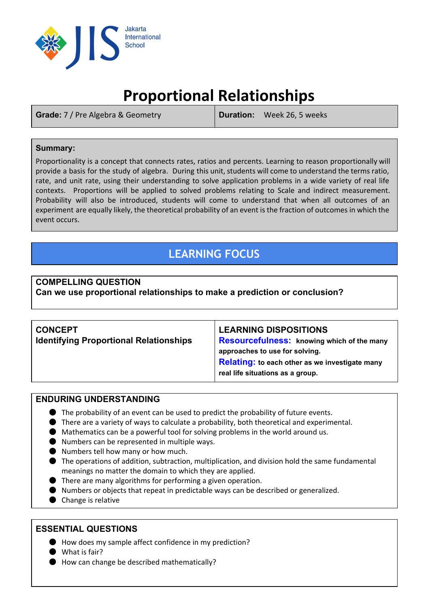

# **Proportional Relationships**

**Grade:** 7 / Pre Algebra & Geometry **Duration:** Week 26, 5 weeks

### **Summary:**

Proportionality is a concept that connects rates, ratios and percents. Learning to reason proportionally will provide a basis for the study of algebra. During this unit, students will come to understand the terms ratio, rate, and unit rate, using their understanding to solve application problems in a wide variety of real life contexts. Proportions will be applied to solved problems relating to Scale and indirect measurement. Probability will also be introduced, students will come to understand that when all outcomes of an experiment are equally likely, the theoretical probability of an event is the fraction of outcomes in which the event occurs.

# **LEARNING FOCUS**

#### **COMPELLING QUESTION Can we use proportional relationships to make a prediction or conclusion?**

| <b>CONCEPT</b><br><b>Identifying Proportional Relationships</b> | <b>LEARNING DISPOSITIONS</b><br><b>Resourcefulness:</b> knowing which of the many<br>approaches to use for solving.<br>Relating: to each other as we investigate many<br>real life situations as a group. |
|-----------------------------------------------------------------|-----------------------------------------------------------------------------------------------------------------------------------------------------------------------------------------------------------|

### **ENDURING UNDERSTANDING**

- $\bullet$  The probability of an event can be used to predict the probability of future events.
- There are a variety of ways to calculate a probability, both theoretical and experimental.
- Mathematics can be a powerful tool for solving problems in the world around us.
- Numbers can be represented in multiple ways.
- Numbers tell how many or how much.
- The operations of addition, subtraction, multiplication, and division hold the same fundamental meanings no matter the domain to which they are applied.
- There are many algorithms for performing a given operation.
- Numbers or objects that repeat in predictable ways can be described or generalized.
- Change is relative

# **ESSENTIAL QUESTIONS**

- How does my sample affect confidence in my prediction?
- What is fair?
- How can change be described mathematically?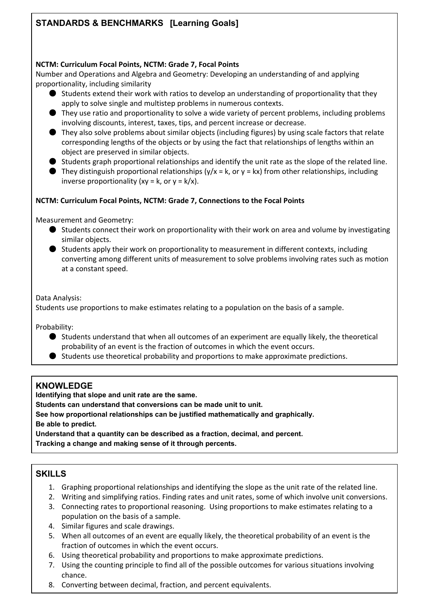# **STANDARDS & BENCHMARKS[Learning Goals]**

#### **NCTM: Curriculum Focal Points, NCTM: Grade 7, Focal Points**

Number and Operations and Algebra and Geometry: Developing an understanding of and applying proportionality, including similarity

- Students extend their work with ratios to develop an understanding of proportionality that they apply to solve single and multistep problems in numerous contexts.
- They use ratio and proportionality to solve a wide variety of percent problems, including problems involving discounts, interest, taxes, tips, and percent increase or decrease.
- They also solve problems about similar objects (including figures) by using scale factors that relate corresponding lengths of the objects or by using the fact that relationships of lengths within an object are preserved in similar objects.
- $\bullet$  Students graph proportional relationships and identify the unit rate as the slope of the related line.
- $\bullet$  They distinguish proportional relationships (y/x = k, or y = kx) from other relationships, including inverse proportionality (xy = k, or y =  $k/x$ ).

#### **NCTM: Curriculum Focal Points, NCTM: Grade 7, Connections to the Focal Points**

Measurement and Geometry:

- Students connect their work on proportionality with their work on area and volume by investigating similar objects.
- Students apply their work on proportionality to measurement in different contexts, including converting among different units of measurement to solve problems involving rates such as motion at a constant speed.

Data Analysis:

Students use proportions to make estimates relating to a population on the basis of a sample.

Probability:

- Students understand that when all outcomes of an experiment are equally likely, the theoretical probability of an event is the fraction of outcomes in which the event occurs.
- Students use theoretical probability and proportions to make approximate predictions.

### **KNOWLEDGE**

**Identifying that slope and unit rate are the same.**

**Students can understand that conversions can be made unit to unit.**

**See how proportional relationships can be justified mathematically and graphically. Be able to predict.**

**Understand that a quantity can be described as a fraction, decimal, and percent. Tracking a change and making sense of it through percents.**

# **SKILLS**

- 1. Graphing proportional relationships and identifying the slope as the unit rate of the related line.
- 2. Writing and simplifying ratios. Finding rates and unit rates, some of which involve unit conversions.
- 3. Connecting rates to proportional reasoning. Using proportions to make estimates relating to a population on the basis of a sample.
- 4. Similar figures and scale drawings.
- 5. When all outcomes of an event are equally likely, the theoretical probability of an event is the fraction of outcomes in which the event occurs.
- 6. Using theoretical probability and proportions to make approximate predictions.
- 7. Using the counting principle to find all of the possible outcomes for various situations involving chance.
- 8. Converting between decimal, fraction, and percent equivalents.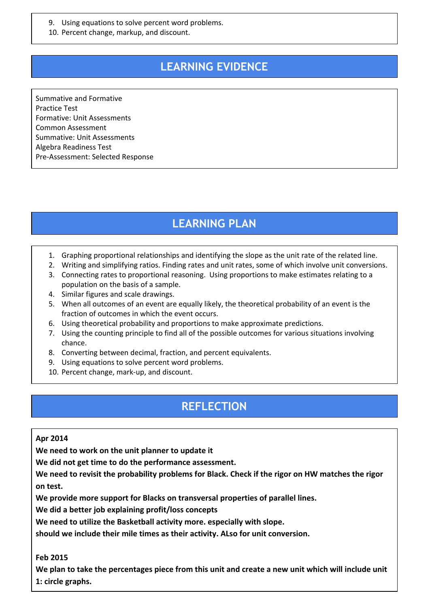- 9. Using equations to solve percent word problems.
- 10. Percent change, markup, and discount.

# **LEARNING EVIDENCE**

Summative and Formative Practice Test Formative: Unit Assessments Common Assessment Summative: Unit Assessments Algebra Readiness Test Pre-Assessment: Selected Response

# **LEARNING PLAN**

- 1. Graphing proportional relationships and identifying the slope as the unit rate of the related line.
- 2. Writing and simplifying ratios. Finding rates and unit rates, some of which involve unit conversions.
- 3. Connecting rates to proportional reasoning. Using proportions to make estimates relating to a population on the basis of a sample.
- 4. Similar figures and scale drawings.
- 5. When all outcomes of an event are equally likely, the theoretical probability of an event is the fraction of outcomes in which the event occurs.
- 6. Using theoretical probability and proportions to make approximate predictions.
- 7. Using the counting principle to find all of the possible outcomes for various situations involving chance.
- 8. Converting between decimal, fraction, and percent equivalents.
- 9. Using equations to solve percent word problems.
- 10. Percent change, mark-up, and discount.

# **REFLECTION**

#### **Apr 2014**

**We need to work on the unit planner to update it**

**We did not get time to do the performance assessment.**

**We need to revisit the probability problems for Black. Check if the rigor on HW matches the rigor on test.**

**We provide more support for Blacks on transversal properties of parallel lines.**

**We did a better job explaining profit/loss concepts**

**We need to utilize the Basketball activity more. especially with slope.**

**should we include their mile times as their activity. ALso for unit conversion.**

#### **Feb 2015**

We plan to take the percentages piece from this unit and create a new unit which will include unit **1: circle graphs.**